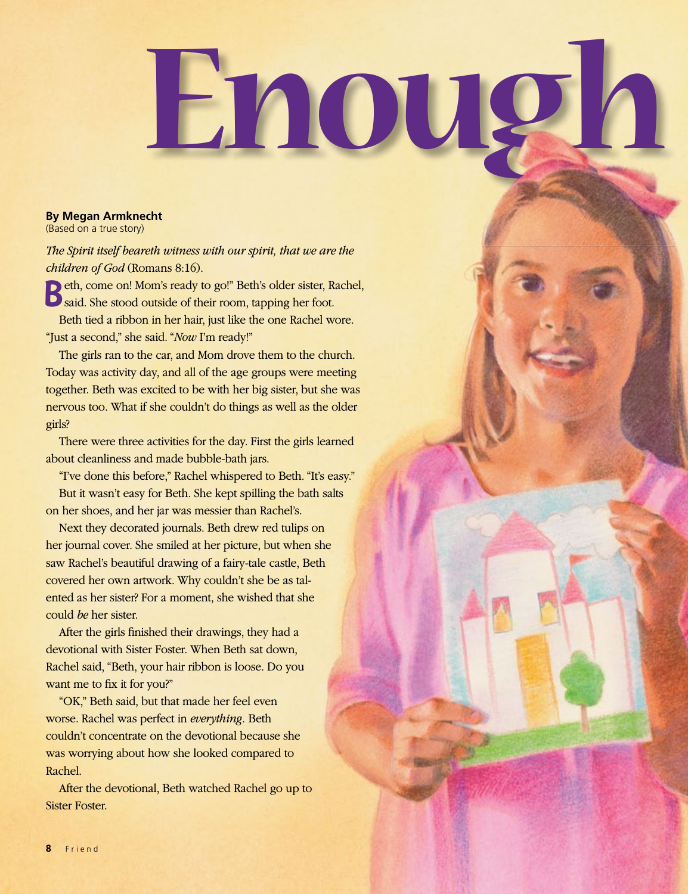## Enough

## **By Megan Armknecht**

(Based on a true story)

*The Spirit itself beareth witness with our spirit, that we are the children of God* (Romans 8:16).

**B**eth, come on! Mom's ready to go!" Beth's older sister, Rachel, Said. She stood outside of their room, tapping her foot. Beth tied a ribbon in her hair, just like the one Rachel wore.

"Just a second," she said. "*Now* I'm ready!"

The girls ran to the car, and Mom drove them to the church. Today was activity day, and all of the age groups were meeting together. Beth was excited to be with her big sister, but she was nervous too. What if she couldn't do things as well as the older girls?

There were three activities for the day. First the girls learned about cleanliness and made bubble-bath jars.

"I've done this before," Rachel whispered to Beth. "It's easy." But it wasn't easy for Beth. She kept spilling the bath salts on her shoes, and her jar was messier than Rachel's.

Next they decorated journals. Beth drew red tulips on her journal cover. She smiled at her picture, but when she saw Rachel's beautiful drawing of a fairy-tale castle, Beth covered her own artwork. Why couldn't she be as talented as her sister? For a moment, she wished that she could *be* her sister.

After the girls finished their drawings, they had a devotional with Sister Foster. When Beth sat down, Rachel said, "Beth, your hair ribbon is loose. Do you want me to fix it for you?"

"OK," Beth said, but that made her feel even worse. Rachel was perfect in *everything.* Beth couldn't concentrate on the devotional because she was worrying about how she looked compared to Rachel.

After the devotional, Beth watched Rachel go up to Sister Foster.